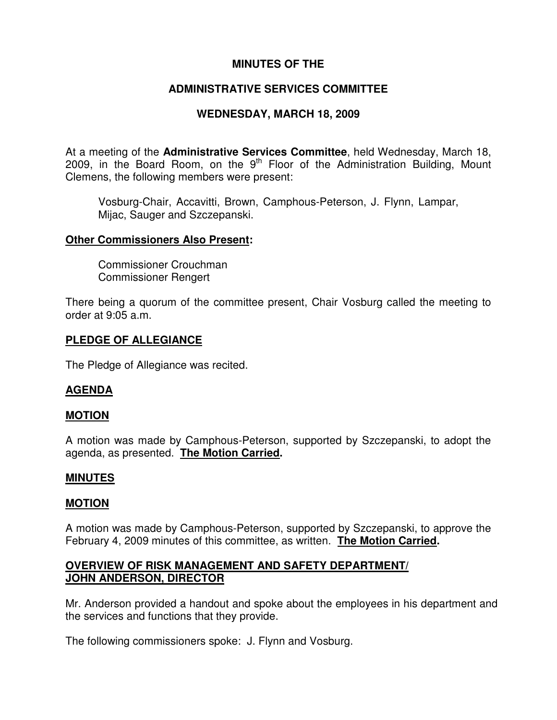# **MINUTES OF THE**

# **ADMINISTRATIVE SERVICES COMMITTEE**

# **WEDNESDAY, MARCH 18, 2009**

At a meeting of the **Administrative Services Committee**, held Wednesday, March 18, 2009, in the Board Room, on the  $9<sup>th</sup>$  Floor of the Administration Building, Mount Clemens, the following members were present:

Vosburg-Chair, Accavitti, Brown, Camphous-Peterson, J. Flynn, Lampar, Mijac, Sauger and Szczepanski.

#### **Other Commissioners Also Present:**

Commissioner Crouchman Commissioner Rengert

There being a quorum of the committee present, Chair Vosburg called the meeting to order at 9:05 a.m.

## **PLEDGE OF ALLEGIANCE**

The Pledge of Allegiance was recited.

## **AGENDA**

## **MOTION**

A motion was made by Camphous-Peterson, supported by Szczepanski, to adopt the agenda, as presented. **The Motion Carried.**

#### **MINUTES**

## **MOTION**

A motion was made by Camphous-Peterson, supported by Szczepanski, to approve the February 4, 2009 minutes of this committee, as written. **The Motion Carried.**

### **OVERVIEW OF RISK MANAGEMENT AND SAFETY DEPARTMENT/ JOHN ANDERSON, DIRECTOR**

Mr. Anderson provided a handout and spoke about the employees in his department and the services and functions that they provide.

The following commissioners spoke: J. Flynn and Vosburg.